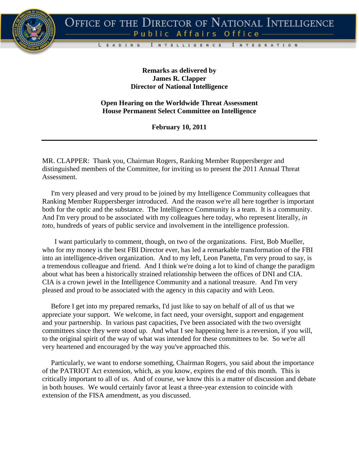

I N T E G R A T I O N

**Remarks as delivered by James R. Clapper Director of National Intelligence**

I NTELLIGENCE

L

EADING

**Open Hearing on the Worldwide Threat Assessment House Permanent Select Committee on Intelligence**

**February 10, 2011**

MR. CLAPPER: Thank you, Chairman Rogers, Ranking Member Ruppersberger and distinguished members of the Committee, for inviting us to present the 2011 Annual Threat Assessment.

 I'm very pleased and very proud to be joined by my Intelligence Community colleagues that Ranking Member Ruppersberger introduced. And the reason we're all here together is important both for the optic and the substance. The Intelligence Community is a team. It is a community. And I'm very proud to be associated with my colleagues here today, who represent literally, *in toto*, hundreds of years of public service and involvement in the intelligence profession.

 I want particularly to comment, though, on two of the organizations. First, Bob Mueller, who for my money is the best FBI Director ever, has led a remarkable transformation of the FBI into an intelligence-driven organization. And to my left, Leon Panetta, I'm very proud to say, is a tremendous colleague and friend. And I think we're doing a lot to kind of change the paradigm about what has been a historically strained relationship between the offices of DNI and CIA. CIA is a crown jewel in the Intelligence Community and a national treasure. And I'm very pleased and proud to be associated with the agency in this capacity and with Leon.

 Before I get into my prepared remarks, I'd just like to say on behalf of all of us that we appreciate your support. We welcome, in fact need, your oversight, support and engagement and your partnership. In various past capacities, I've been associated with the two oversight committees since they were stood up. And what I see happening here is a reversion, if you will, to the original spirit of the way of what was intended for these committees to be. So we're all very heartened and encouraged by the way you've approached this.

 Particularly, we want to endorse something, Chairman Rogers, you said about the importance of the PATRIOT Act extension, which, as you know, expires the end of this month. This is critically important to all of us. And of course, we know this is a matter of discussion and debate in both houses. We would certainly favor at least a three-year extension to coincide with extension of the FISA amendment, as you discussed.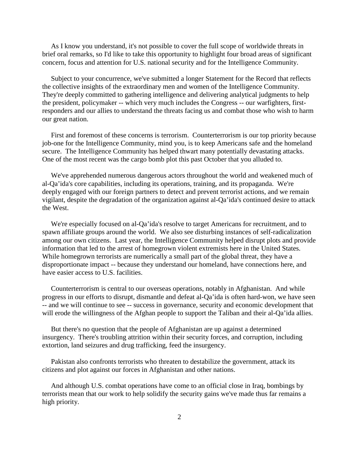As I know you understand, it's not possible to cover the full scope of worldwide threats in brief oral remarks, so I'd like to take this opportunity to highlight four broad areas of significant concern, focus and attention for U.S. national security and for the Intelligence Community.

 Subject to your concurrence, we've submitted a longer Statement for the Record that reflects the collective insights of the extraordinary men and women of the Intelligence Community. They're deeply committed to gathering intelligence and delivering analytical judgments to help the president, policymaker -- which very much includes the Congress -- our warfighters, firstresponders and our allies to understand the threats facing us and combat those who wish to harm our great nation.

 First and foremost of these concerns is terrorism. Counterterrorism is our top priority because job-one for the Intelligence Community, mind you, is to keep Americans safe and the homeland secure. The Intelligence Community has helped thwart many potentially devastating attacks. One of the most recent was the cargo bomb plot this past October that you alluded to.

 We've apprehended numerous dangerous actors throughout the world and weakened much of al-Qa'ida's core capabilities, including its operations, training, and its propaganda. We're deeply engaged with our foreign partners to detect and prevent terrorist actions, and we remain vigilant, despite the degradation of the organization against al-Qa'ida's continued desire to attack the West.

 We're especially focused on al-Qa'ida's resolve to target Americans for recruitment, and to spawn affiliate groups around the world. We also see disturbing instances of self-radicalization among our own citizens. Last year, the Intelligence Community helped disrupt plots and provide information that led to the arrest of homegrown violent extremists here in the United States. While homegrown terrorists are numerically a small part of the global threat, they have a disproportionate impact -- because they understand our homeland, have connections here, and have easier access to U.S. facilities.

 Counterterrorism is central to our overseas operations, notably in Afghanistan. And while progress in our efforts to disrupt, dismantle and defeat al-Qa'ida is often hard-won, we have seen -- and we will continue to see -- success in governance, security and economic development that will erode the willingness of the Afghan people to support the Taliban and their al-Qa'ida allies.

 But there's no question that the people of Afghanistan are up against a determined insurgency. There's troubling attrition within their security forces, and corruption, including extortion, land seizures and drug trafficking, feed the insurgency.

 Pakistan also confronts terrorists who threaten to destabilize the government, attack its citizens and plot against our forces in Afghanistan and other nations.

 And although U.S. combat operations have come to an official close in Iraq, bombings by terrorists mean that our work to help solidify the security gains we've made thus far remains a high priority.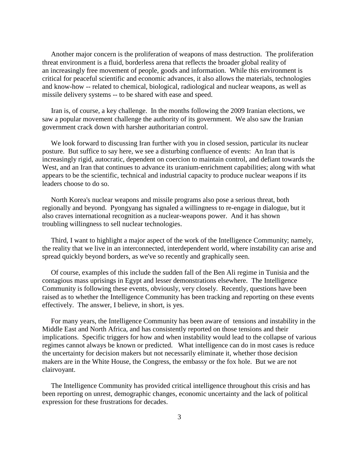Another major concern is the proliferation of weapons of mass destruction. The proliferation threat environment is a fluid, borderless arena that reflects the broader global reality of an increasingly free movement of people, goods and information. While this environment is critical for peaceful scientific and economic advances, it also allows the materials, technologies and know-how -- related to chemical, biological, radiological and nuclear weapons, as well as missile delivery systems -- to be shared with ease and speed.

 Iran is, of course, a key challenge. In the months following the 2009 Iranian elections, we saw a popular movement challenge the authority of its government. We also saw the Iranian government crack down with harsher authoritarian control.

 We look forward to discussing Iran further with you in closed session, particular its nuclear posture. But suffice to say here, we see a disturbing confluence of events: An Iran that is increasingly rigid, autocratic, dependent on coercion to maintain control, and defiant towards the West, and an Iran that continues to advance its uranium-enrichment capabilities; along with what appears to be the scientific, technical and industrial capacity to produce nuclear weapons if its leaders choose to do so.

 North Korea's nuclear weapons and missile programs also pose a serious threat, both regionally and beyond. Pyongyang has signaled a willingness to re-engage in dialogue, but it also craves international recognition as a nuclear-weapons power. And it has shown troubling willingness to sell nuclear technologies.

 Third, I want to highlight a major aspect of the work of the Intelligence Community; namely, the reality that we live in an interconnected, interdependent world, where instability can arise and spread quickly beyond borders, as we've so recently and graphically seen.

 Of course, examples of this include the sudden fall of the Ben Ali regime in Tunisia and the contagious mass uprisings in Egypt and lesser demonstrations elsewhere. The Intelligence Community is following these events, obviously, very closely. Recently, questions have been raised as to whether the Intelligence Community has been tracking and reporting on these events effectively. The answer, I believe, in short, is yes.

 For many years, the Intelligence Community has been aware of tensions and instability in the Middle East and North Africa, and has consistently reported on those tensions and their implications. Specific triggers for how and when instability would lead to the collapse of various regimes cannot always be known or predicted. What intelligence can do in most cases is reduce the uncertainty for decision makers but not necessarily eliminate it, whether those decision makers are in the White House, the Congress, the embassy or the fox hole. But we are not clairvoyant.

 The Intelligence Community has provided critical intelligence throughout this crisis and has been reporting on unrest, demographic changes, economic uncertainty and the lack of political expression for these frustrations for decades.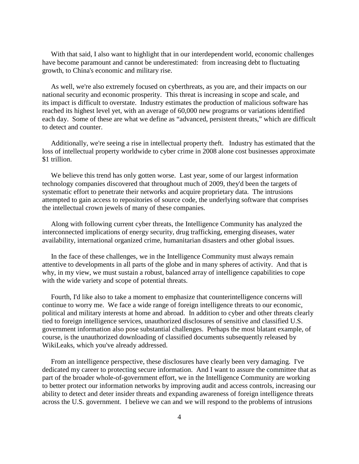With that said, I also want to highlight that in our interdependent world, economic challenges have become paramount and cannot be underestimated: from increasing debt to fluctuating growth, to China's economic and military rise.

 As well, we're also extremely focused on cyberthreats, as you are, and their impacts on our national security and economic prosperity. This threat is increasing in scope and scale, and its impact is difficult to overstate. Industry estimates the production of malicious software has reached its highest level yet, with an average of 60,000 new programs or variations identified each day. Some of these are what we define as "advanced, persistent threats," which are difficult to detect and counter.

 Additionally, we're seeing a rise in intellectual property theft. Industry has estimated that the loss of intellectual property worldwide to cyber crime in 2008 alone cost businesses approximate \$1 trillion.

 We believe this trend has only gotten worse. Last year, some of our largest information technology companies discovered that throughout much of 2009, they'd been the targets of systematic effort to penetrate their networks and acquire proprietary data. The intrusions attempted to gain access to repositories of source code, the underlying software that comprises the intellectual crown jewels of many of these companies.

 Along with following current cyber threats, the Intelligence Community has analyzed the interconnected implications of energy security, drug trafficking, emerging diseases, water availability, international organized crime, humanitarian disasters and other global issues.

 In the face of these challenges, we in the Intelligence Community must always remain attentive to developments in all parts of the globe and in many spheres of activity. And that is why, in my view, we must sustain a robust, balanced array of intelligence capabilities to cope with the wide variety and scope of potential threats.

 Fourth, I'd like also to take a moment to emphasize that counterintelligence concerns will continue to worry me. We face a wide range of foreign intelligence threats to our economic, political and military interests at home and abroad. In addition to cyber and other threats clearly tied to foreign intelligence services, unauthorized disclosures of sensitive and classified U.S. government information also pose substantial challenges. Perhaps the most blatant example, of course, is the unauthorized downloading of classified documents subsequently released by WikiLeaks, which you've already addressed.

 From an intelligence perspective, these disclosures have clearly been very damaging. I've dedicated my career to protecting secure information. And I want to assure the committee that as part of the broader whole-of-government effort, we in the Intelligence Community are working to better protect our information networks by improving audit and access controls, increasing our ability to detect and deter insider threats and expanding awareness of foreign intelligence threats across the U.S. government. I believe we can and we will respond to the problems of intrusions